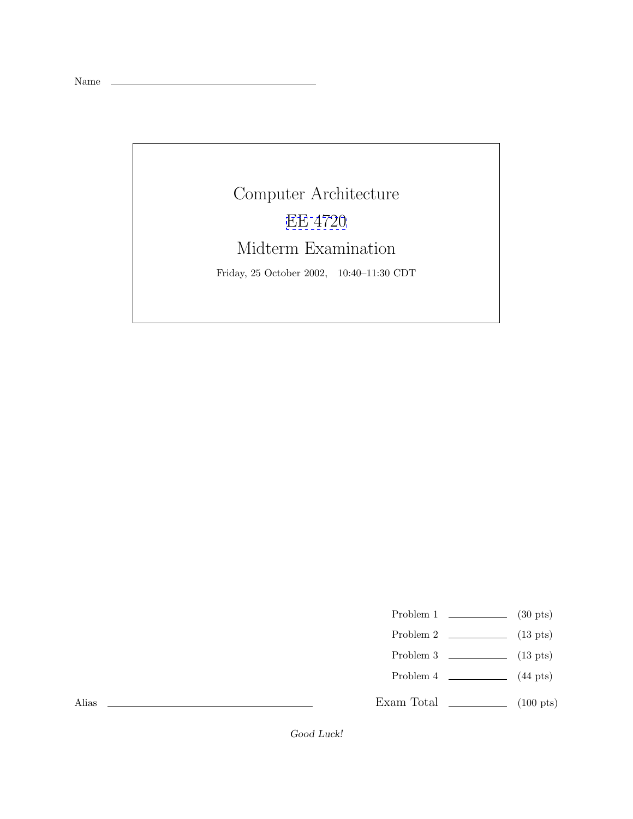Name

Computer Architecture [EE 4720](http://www.ece.lsu.edu/ee4720/) Midterm Examination Friday, 25 October 2002, 10:40–11:30 CDT

Problem 1  $\qquad \qquad$  (30 pts)

- Problem 2  $\qquad \qquad$  (13 pts)
- Problem 3  $\qquad \qquad$  (13 pts)
- Problem 4  $\qquad (44 \text{ pts})$

Exam Total \_\_\_\_\_\_\_\_\_\_\_\_\_ (100 pts)

Alias

*Good Luck!*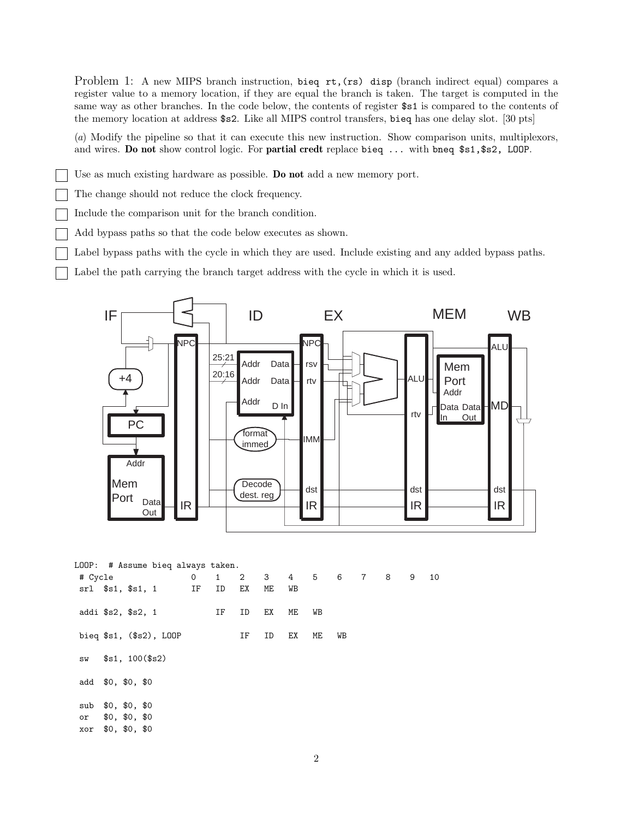Problem 1: A new MIPS branch instruction, bieq rt, (rs) disp (branch indirect equal) compares a register value to a memory location, if they are equal the branch is taken. The target is computed in the same way as other branches. In the code below, the contents of register \$s1 is compared to the contents of the memory location at address \$s2. Like all MIPS control transfers, bieq has one delay slot. [30 pts]

(a) Modify the pipeline so that it can execute this new instruction. Show comparison units, multiplexors, and wires. **Do not** show control logic. For **partial credt** replace bieq ... with bneq \$s1,\$s2, LOOP.

Use as much existing hardware as possible. **Do not** add a new memory port.

The change should not reduce the clock frequency.

Include the comparison unit for the branch condition.

Add bypass paths so that the code below executes as shown.

Label bypass paths with the cycle in which they are used. Include existing and any added bypass paths.

Label the path carrying the branch target address with the cycle in which it is used.



LOOP: # Assume bieq always taken. # Cycle 0 1 2 3 4 5 6 7 8 9 10 srl \$s1, \$s1, 1 IF ID EX ME WB addi \$s2, \$s2, 1 IF ID EX ME WB bieq \$s1, (\$s2), LOOP IF ID EX ME WB sw \$s1, 100(\$s2) add \$0, \$0, \$0 sub \$0, \$0, \$0 or \$0, \$0, \$0 xor \$0, \$0, \$0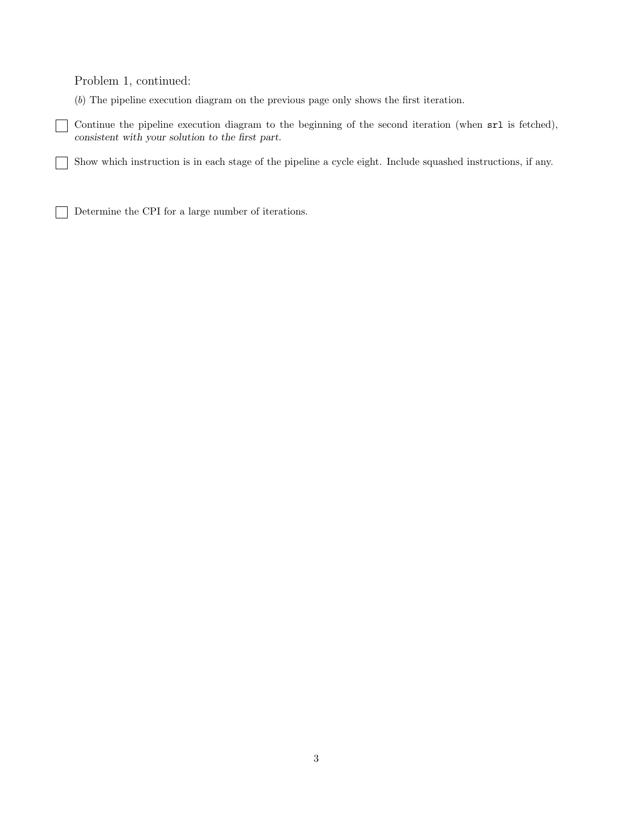Problem 1, continued:

(b) The pipeline execution diagram on the previous page only shows the first iteration.

Continue the pipeline execution diagram to the beginning of the second iteration (when  $sr1$  is fetched),  $\Box$ *consistent with your solution to the first part*.

Show which instruction is in each stage of the pipeline a cycle eight. Include squashed instructions, if any.  $\mathcal{L}$ 

Determine the CPI for a large number of iterations.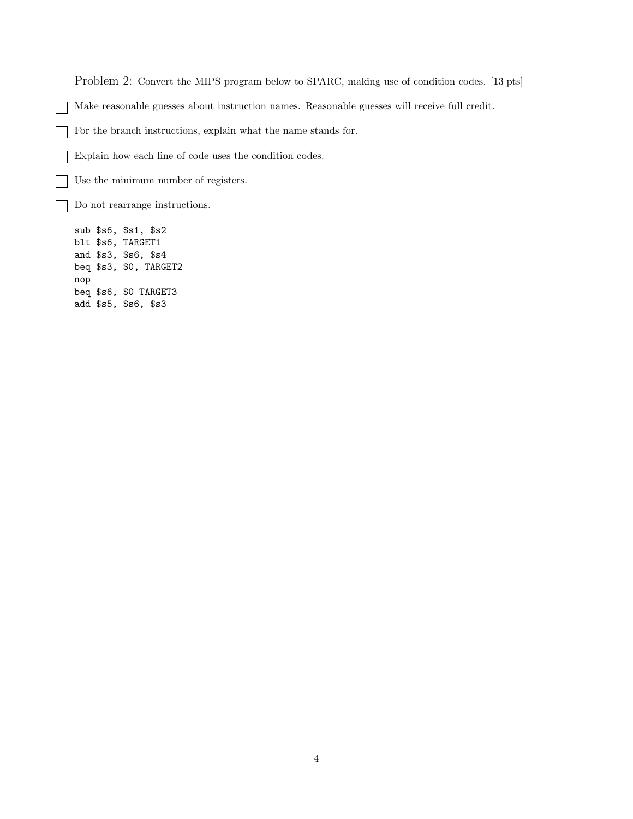Problem 2: Convert the MIPS program below to SPARC, making use of condition codes. [13 pts]

Make reasonable guesses about instruction names. Reasonable guesses will receive full credit.

For the branch instructions, explain what the name stands for.

Explain how each line of code uses the condition codes.

Use the minimum number of registers.

Do not rearrange instructions.

sub \$s6, \$s1, \$s2 blt \$s6, TARGET1 and \$s3, \$s6, \$s4 beq \$s3, \$0, TARGET2 nop beq \$s6, \$0 TARGET3 add \$s5, \$s6, \$s3

 $\mathbf{L}$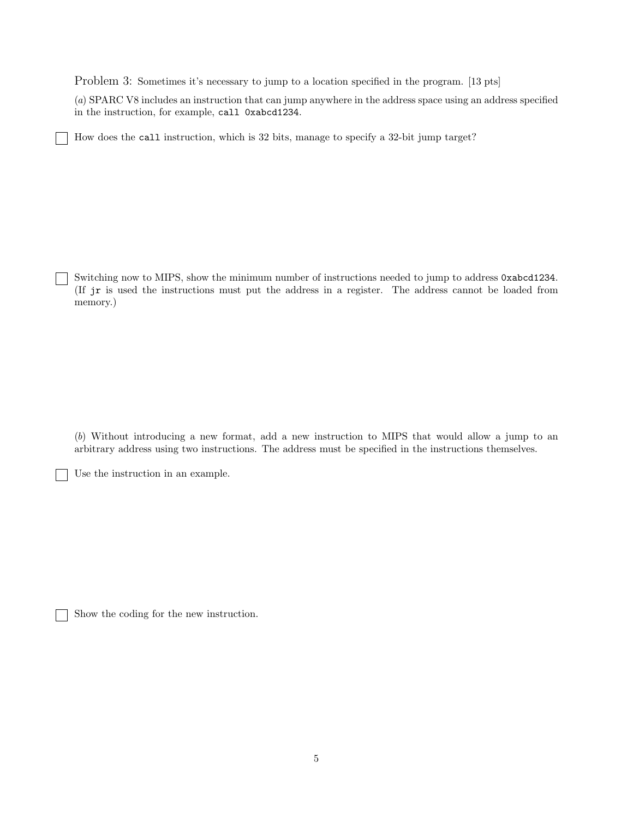Problem 3: Sometimes it's necessary to jump to a location specified in the program. [13 pts]

(a) SPARC V8 includes an instruction that can jump anywhere in the address space using an address specified in the instruction, for example, call 0xabcd1234.

How does the call instruction, which is 32 bits, manage to specify a 32-bit jump target?

Switching now to MIPS, show the minimum number of instructions needed to jump to address 0xabcd1234. (If jr is used the instructions must put the address in a register. The address cannot be loaded from memory.)

(b) Without introducing a new format, add a new instruction to MIPS that would allow a jump to an arbitrary address using two instructions. The address must be specified in the instructions themselves.

Use the instruction in an example.

 $\overline{\phantom{a}}$ 

Show the coding for the new instruction.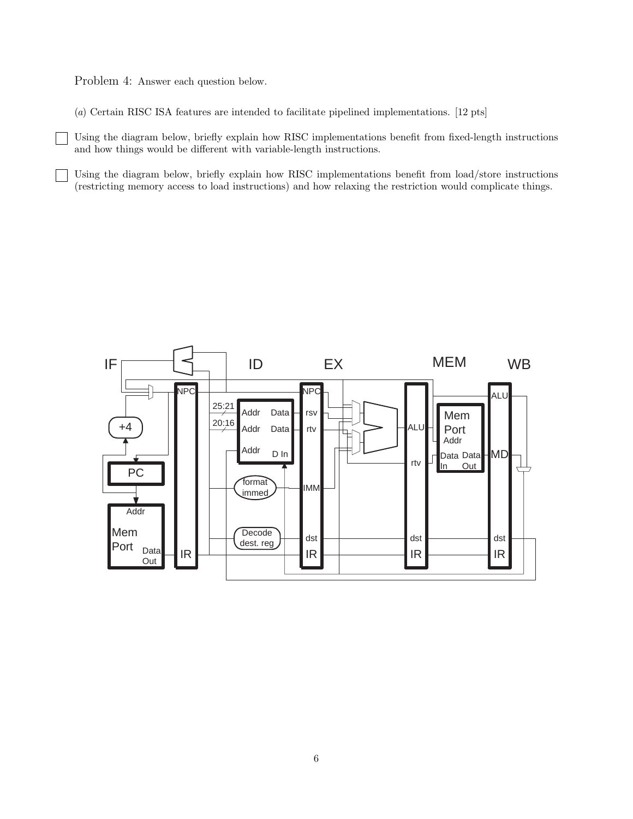Problem 4: Answer each question below.

 $\vert \ \ \vert$ 

(a) Certain RISC ISA features are intended to facilitate pipelined implementations. [12 pts]

Using the diagram below, briefly explain how RISC implementations benefit from fixed-length instructions and how things would be different with variable-length instructions.

Using the diagram below, briefly explain how RISC implementations benefit from load/store instructions (restricting memory access to load instructions) and how relaxing the restriction would complicate things.

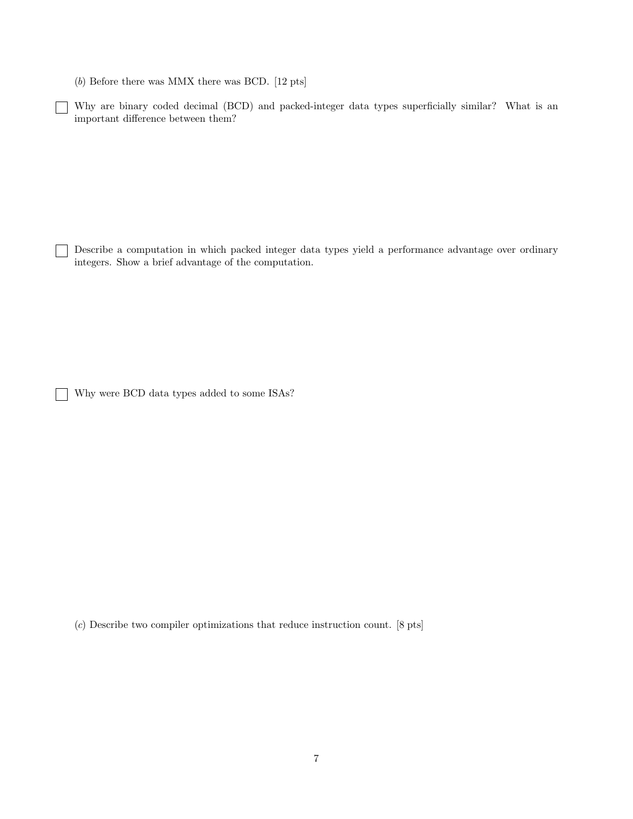(b) Before there was MMX there was BCD. [12 pts]

Why are binary coded decimal (BCD) and packed-integer data types superficially similar? What is an important difference between them?

Describe a computation in which packed integer data types yield a performance advantage over ordinary integers. Show a brief advantage of the computation.

Why were BCD data types added to some ISAs?

 $\sim$ 

(c) Describe two compiler optimizations that reduce instruction count. [8 pts]